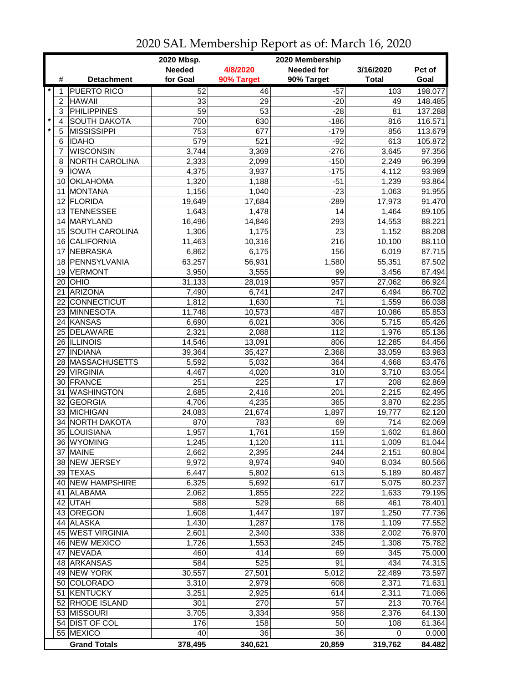|         |                |                     | 2020 Mbsp.<br>2020 Membership |                 |                    |              |         |  |
|---------|----------------|---------------------|-------------------------------|-----------------|--------------------|--------------|---------|--|
|         |                |                     | <b>Needed</b>                 | 4/8/2020        | <b>Needed for</b>  | 3/16/2020    | Pct of  |  |
|         | #              | <b>Detachment</b>   | for Goal                      | 90% Target      | 90% Target         | <b>Total</b> | Goal    |  |
| $\ast$  | 1              | <b>PUERTO RICO</b>  | 52                            | 46              | $-57$              | 103          | 198.077 |  |
|         | $\overline{2}$ | <b>HAWAII</b>       | 33                            | 29              | $-20$              | 49           | 148.485 |  |
|         | 3              | <b>PHILIPPINES</b>  | $\overline{59}$               | $\overline{53}$ | $-28$              | 81           | 137.288 |  |
| $\star$ | $\overline{4}$ | <b>SOUTH DAKOTA</b> | 700                           | 630             | $-186$             | 816          | 116.571 |  |
| $\star$ | $\sqrt{5}$     | <b>MISSISSIPPI</b>  | 753                           | 677             | $-179$             | 856          | 113.679 |  |
|         | 6              | <b>IDAHO</b>        | 579                           | 521             | $-92$              | 613          | 105.872 |  |
|         | 7              | <b>WISCONSIN</b>    | 3,744                         | 3,369           | $-276$             | 3,645        | 97.356  |  |
|         | 8              | NORTH CAROLINA      | 2,333                         | 2,099           | $-150$             | 2,249        | 96.399  |  |
|         | 9              | <b>IOWA</b>         | 4,375                         | 3,937           | $-175$             | 4,112        | 93.989  |  |
|         | 10             | <b>OKLAHOMA</b>     | 1,320                         | 1,188           | $-51$              | 1,239        | 93.864  |  |
|         | 11             | <b>MONTANA</b>      | 1,156                         | 1,040           | $-23$              | 1,063        | 91.955  |  |
|         |                | 12 FLORIDA          | 19,649                        | 17,684          | $-289$             | 17,973       | 91.470  |  |
|         | 13             | <b>TENNESSEE</b>    | 1,643                         | 1,478           | 14                 | 1,464        | 89.105  |  |
|         | 14             | <b>MARYLAND</b>     | 16,496                        | 14,846          | 293                | 14,553       | 88.221  |  |
|         | 15             | SOUTH CAROLINA      | 1,306                         | 1,175           | 23                 | 1,152        | 88.208  |  |
|         | 16             | <b>CALIFORNIA</b>   |                               | 10,316          | 216                | 10,100       | 88.110  |  |
|         | 17             | <b>NEBRASKA</b>     | 11,463<br>6,862               | 6,175           | 156                | 6,019        | 87.715  |  |
|         | 18             | PENNSYLVANIA        | 63,257                        | 56,931          | 1,580              | 55,351       | 87.502  |  |
|         |                | 19 VERMONT          | 3,950                         |                 | 99                 |              |         |  |
|         |                | $20$ OHIO           |                               | 3,555           | 957                | 3,456        | 87.494  |  |
|         |                |                     | 31,133                        | 28,019          |                    | 27,062       | 86.924  |  |
|         |                | 21 ARIZONA          | 7,490                         | 6,741           | 247                | 6,494        | 86.702  |  |
|         |                | 22 CONNECTICUT      | 1,812                         | 1,630           | 71                 | 1,559        | 86.038  |  |
|         |                | 23 MINNESOTA        | 11,748                        | 10,573          | 487                | 10,086       | 85.853  |  |
|         |                | 24 KANSAS           | 6,690                         | 6,021           | 306                | 5,715        | 85.426  |  |
|         |                | 25 DELAWARE         | 2,321                         | 2,088           | 112                | 1,976        | 85.136  |  |
|         |                | 26 ILLINOIS         | 14,546                        | 13,091          | 806                | 12,285       | 84.456  |  |
|         | 27             | <b>INDIANA</b>      | 39,364                        | 35,427          | $\overline{2,}368$ | 33,059       | 83.983  |  |
|         |                | 28 MASSACHUSETTS    | 5,592                         | 5,032           | 364                | 4,668        | 83.476  |  |
|         | 29             | <b>VIRGINIA</b>     | 4,467                         | 4,020           | 310                | 3,710        | 83.054  |  |
|         |                | 30 FRANCE           | 251                           | 225             | 17                 | 208          | 82.869  |  |
|         | 31             | <b>WASHINGTON</b>   | 2,685                         | 2,416           | 201                | 2,215        | 82.495  |  |
|         |                | 32 GEORGIA          | 4,706                         | 4,235           | 365                | 3,870        | 82.235  |  |
|         |                | 33 MICHIGAN         | 24,083                        | 21,674          | 1,897              | 19,777       | 82.120  |  |
|         | 34             | <b>NORTH DAKOTA</b> | 870                           | 783             | 69                 | 714          | 82.069  |  |
|         |                | 35 LOUISIANA        | 1,957                         | 1,761           | 159                | 1,602        | 81.860  |  |
|         |                | 36 WYOMING          | 1,245                         | 1,120           | $\frac{111}{11}$   | 1,009        | 81.044  |  |
|         |                | 37 MAINE            | 2,662                         | 2,395           | 244                | 2,151        | 80.804  |  |
|         |                | 38 NEW JERSEY       | 9,972                         | 8,974           | 940                | 8,034        | 80.566  |  |
|         |                | 39 TEXAS            | 6,447                         | 5,802           | 613                | 5,189        | 80.487  |  |
|         |                | 40 NEW HAMPSHIRE    | 6,325                         | 5,692           | 617                | 5,075        | 80.237  |  |
|         |                | 41 ALABAMA          | 2,062                         | 1,855           | 222                | 1,633        | 79.195  |  |
|         |                | 42 UTAH             | 588                           | 529             | 68                 | 461          | 78.401  |  |
|         |                | 43 OREGON           | 1,608                         | 1,447           | 197                | 1,250        | 77.736  |  |
|         |                | 44 ALASKA           | 1,430                         | 1,287           | 178                | 1,109        | 77.552  |  |
|         |                | 45 WEST VIRGINIA    | 2,601                         | 2,340           | 338                | 2,002        | 76.970  |  |
|         |                | 46 NEW MEXICO       | 1,726                         | 1,553           | 245                | 1,308        | 75.782  |  |
|         | 47             | <b>NEVADA</b>       | 460                           | 414             | 69                 | 345          | 75.000  |  |
|         |                | 48 ARKANSAS         | 584                           | 525             | 91                 | 434          | 74.315  |  |
|         |                | 49 NEW YORK         | 30,557                        | 27,501          | 5,012              | 22,489       | 73.597  |  |
|         |                | 50 COLORADO         | 3,310                         | 2,979           | 608                | 2,371        | 71.631  |  |
|         | 51             | KENTUCKY            | 3,251                         | 2,925           | 614                | 2,311        | 71.086  |  |
|         |                | 52 RHODE ISLAND     | 301                           | 270             | 57                 | 213          | 70.764  |  |
|         |                | 53 MISSOURI         | 3,705                         | 3,334           | 958                | 2,376        | 64.130  |  |
|         |                | 54 DIST OF COL      | 176                           | 158             | 50                 | 108          | 61.364  |  |
|         |                | 55 MEXICO           | 40                            | 36              | 36                 | 0            | 0.000   |  |
|         |                | <b>Grand Totals</b> | 378,495                       | 340,621         | 20,859             | 319,762      | 84.482  |  |

## 2020 SAL Membership Report as of: March 16, 2020